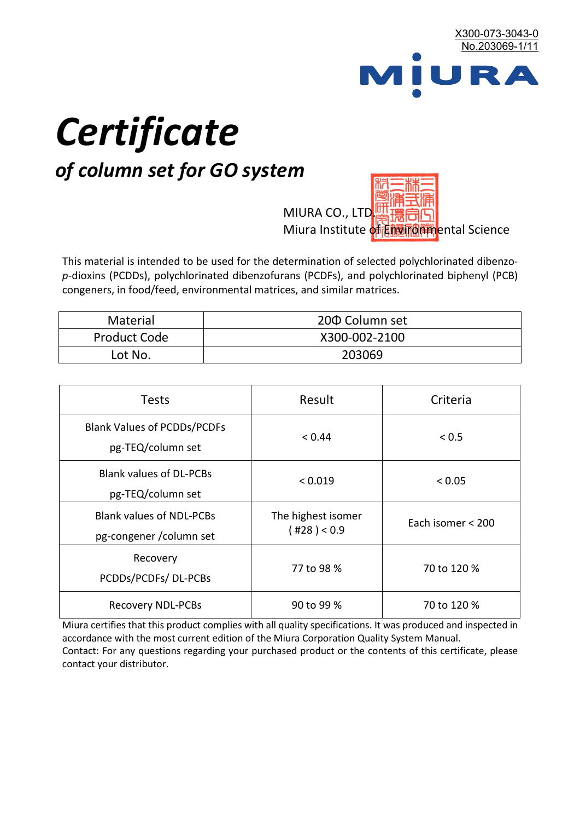

# *Certificate*

## *of column set for GO system*

MIURA CO., LTD. Miura Institute of 正版而解ental Science

This material is intended to be used for the determination of selected polychlorinated dibenzo*p*-dioxins (PCDDs), polychlorinated dibenzofurans (PCDFs), and polychlorinated biphenyl (PCB) congeners, in food/feed, environmental matrices, and similar matrices.

| Material            | 200 Column set |  |
|---------------------|----------------|--|
| <b>Product Code</b> | X300-002-2100  |  |
| Lot No.             | 203069         |  |

| <b>Tests</b>                                                | Result                                                 | Criteria    |  |
|-------------------------------------------------------------|--------------------------------------------------------|-------------|--|
| <b>Blank Values of PCDDs/PCDFs</b><br>pg-TEQ/column set     | < 0.44                                                 | < 0.5       |  |
| <b>Blank values of DL-PCBs</b><br>pg-TEQ/column set         | < 0.019                                                | < 0.05      |  |
| <b>Blank values of NDL-PCBs</b><br>pg-congener / column set | The highest isomer<br>Each isomer < 200<br>(428) < 0.9 |             |  |
| Recovery<br>PCDDs/PCDFs/DL-PCBs                             | 77 to 98 %                                             | 70 to 120 % |  |
| <b>Recovery NDL-PCBs</b>                                    | 90 to 99 %                                             | 70 to 120 % |  |

Miura certifies that this product complies with all quality specifications. It was produced and inspected in accordance with the most current edition of the Miura Corporation Quality System Manual. Contact: For any questions regarding your purchased product or the contents of this certificate, please contact your distributor.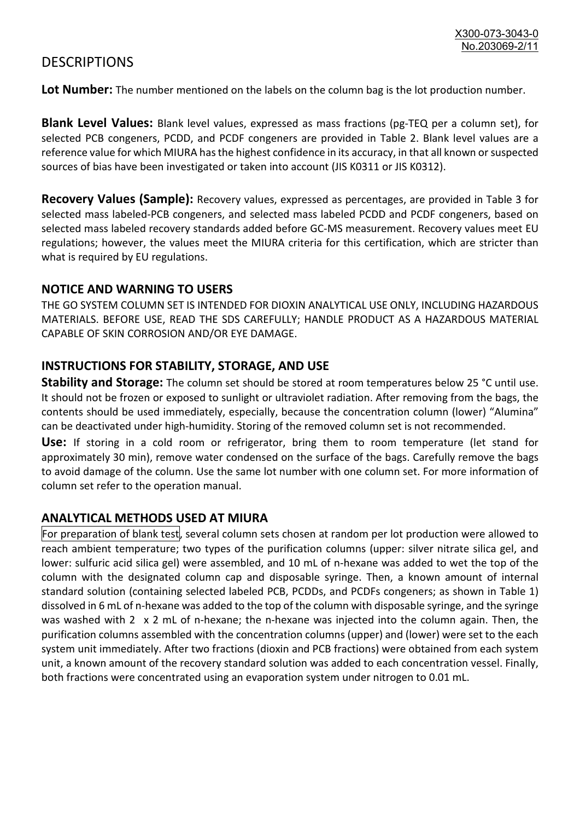### **DESCRIPTIONS**

**Lot Number:** The number mentioned on the labels on the column bag is the lot production number.

**Blank Level Values:** Blank level values, expressed as mass fractions (pg-TEQ per a column set), for selected PCB congeners, PCDD, and PCDF congeners are provided in Table 2. Blank level values are a reference value for which MIURA has the highest confidence in its accuracy, in that all known or suspected sources of bias have been investigated or taken into account (JIS K0311 or JIS K0312).

**Recovery Values (Sample):** Recovery values, expressed as percentages, are provided in Table 3 for selected mass labeled-PCB congeners, and selected mass labeled PCDD and PCDF congeners, based on selected mass labeled recovery standards added before GC-MS measurement. Recovery values meet EU regulations; however, the values meet the MIURA criteria for this certification, which are stricter than what is required by EU regulations.

#### **NOTICE AND WARNING TO USERS**

THE GO SYSTEM COLUMN SET IS INTENDED FOR DIOXIN ANALYTICAL USE ONLY, INCLUDING HAZARDOUS MATERIALS. BEFORE USE, READ THE SDS CAREFULLY; HANDLE PRODUCT AS A HAZARDOUS MATERIAL CAPABLE OF SKIN CORROSION AND/OR EYE DAMAGE.

#### **INSTRUCTIONS FOR STABILITY, STORAGE, AND USE**

**Stability and Storage:** The column set should be stored at room temperatures below 25 °C until use. It should not be frozen or exposed to sunlight or ultraviolet radiation. After removing from the bags, the contents should be used immediately, especially, because the concentration column (lower) "Alumina" can be deactivated under high-humidity. Storing of the removed column set is not recommended.

**Use:** If storing in a cold room or refrigerator, bring them to room temperature (let stand for approximately 30 min), remove water condensed on the surface of the bags. Carefully remove the bags to avoid damage of the column. Use the same lot number with one column set. For more information of column set refer to the operation manual.

#### **ANALYTICAL METHODS USED AT MIURA**

For preparation of blank test, several column sets chosen at random per lot production were allowed to reach ambient temperature; two types of the purification columns (upper: silver nitrate silica gel, and lower: sulfuric acid silica gel) were assembled, and 10 mL of n-hexane was added to wet the top of the column with the designated column cap and disposable syringe. Then, a known amount of internal standard solution (containing selected labeled PCB, PCDDs, and PCDFs congeners; as shown in Table 1) dissolved in 6 mL of n-hexane was added to the top of the column with disposable syringe, and the syringe was washed with 2 x 2 mL of n-hexane; the n-hexane was injected into the column again. Then, the purification columns assembled with the concentration columns (upper) and (lower) were set to the each system unit immediately. After two fractions (dioxin and PCB fractions) were obtained from each system unit, a known amount of the recovery standard solution was added to each concentration vessel. Finally, both fractions were concentrated using an evaporation system under nitrogen to 0.01 mL.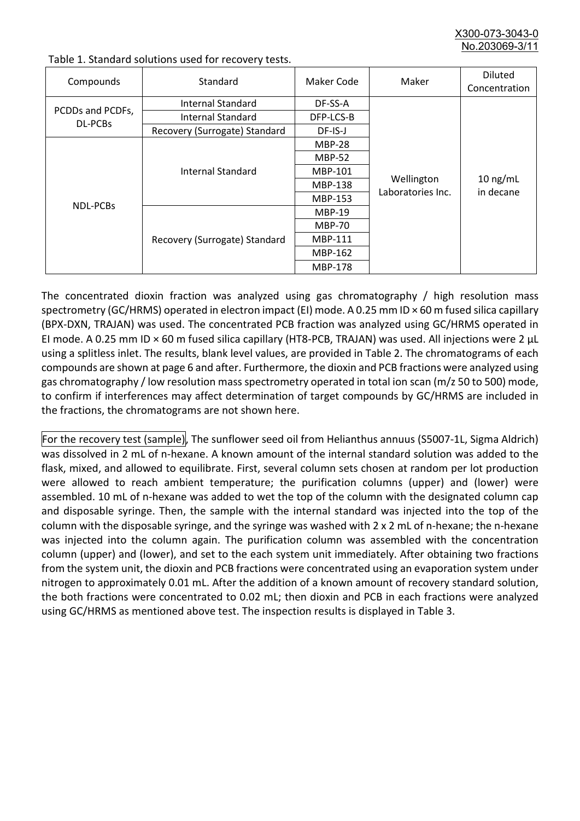X300-073-3043-0 No.203069-3/

| Compounds                   | Standard                      | Maker Code     | Maker                           | <b>Diluted</b><br>Concentration |
|-----------------------------|-------------------------------|----------------|---------------------------------|---------------------------------|
| PCDDs and PCDFs,<br>DL-PCBs | Internal Standard             | DF-SS-A        |                                 |                                 |
|                             | <b>Internal Standard</b>      | DFP-LCS-B      |                                 |                                 |
|                             | Recovery (Surrogate) Standard | DF-IS-J        | Wellington<br>Laboratories Inc. | $10$ ng/mL<br>in decane         |
| NDL-PCBs                    | Internal Standard             | <b>MBP-28</b>  |                                 |                                 |
|                             |                               | <b>MBP-52</b>  |                                 |                                 |
|                             |                               | MBP-101        |                                 |                                 |
|                             |                               | <b>MBP-138</b> |                                 |                                 |
|                             |                               | MBP-153        |                                 |                                 |
|                             | Recovery (Surrogate) Standard | <b>MBP-19</b>  |                                 |                                 |
|                             |                               | <b>MBP-70</b>  |                                 |                                 |
|                             |                               | <b>MBP-111</b> |                                 |                                 |
|                             |                               | MBP-162        |                                 |                                 |
|                             |                               | <b>MBP-178</b> |                                 |                                 |

Table 1. Standard solutions used for recovery tests.

The concentrated dioxin fraction was analyzed using gas chromatography / high resolution mass spectrometry (GC/HRMS) operated in electron impact (EI) mode. A 0.25 mm ID × 60 m fused silica capillary (BPX-DXN, TRAJAN) was used. The concentrated PCB fraction was analyzed using GC/HRMS operated in EI mode. A 0.25 mm ID × 60 m fused silica capillary (HT8-PCB, TRAJAN) was used. All injections were 2 μL using a splitless inlet. The results, blank level values, are provided in Table 2. The chromatograms of each compounds are shown at page 6 and after. Furthermore, the dioxin and PCB fractions were analyzed using gas chromatography / low resolution mass spectrometry operated in total ion scan (m/z 50 to 500) mode, to confirm if interferences may affect determination of target compounds by GC/HRMS are included in the fractions, the chromatograms are not shown here.

For the recovery test (sample), The sunflower seed oil from Helianthus annuus (S5007-1L, Sigma Aldrich) was dissolved in 2 mL of n-hexane. A known amount of the internal standard solution was added to the flask, mixed, and allowed to equilibrate. First, several column sets chosen at random per lot production were allowed to reach ambient temperature; the purification columns (upper) and (lower) were assembled. 10 mL of n-hexane was added to wet the top of the column with the designated column cap and disposable syringe. Then, the sample with the internal standard was injected into the top of the column with the disposable syringe, and the syringe was washed with 2 x 2 mL of n-hexane; the n-hexane was injected into the column again. The purification column was assembled with the concentration column (upper) and (lower), and set to the each system unit immediately. After obtaining two fractions from the system unit, the dioxin and PCB fractions were concentrated using an evaporation system under nitrogen to approximately 0.01 mL. After the addition of a known amount of recovery standard solution, the both fractions were concentrated to 0.02 mL; then dioxin and PCB in each fractions were analyzed using GC/HRMS as mentioned above test. The inspection results is displayed in Table 3.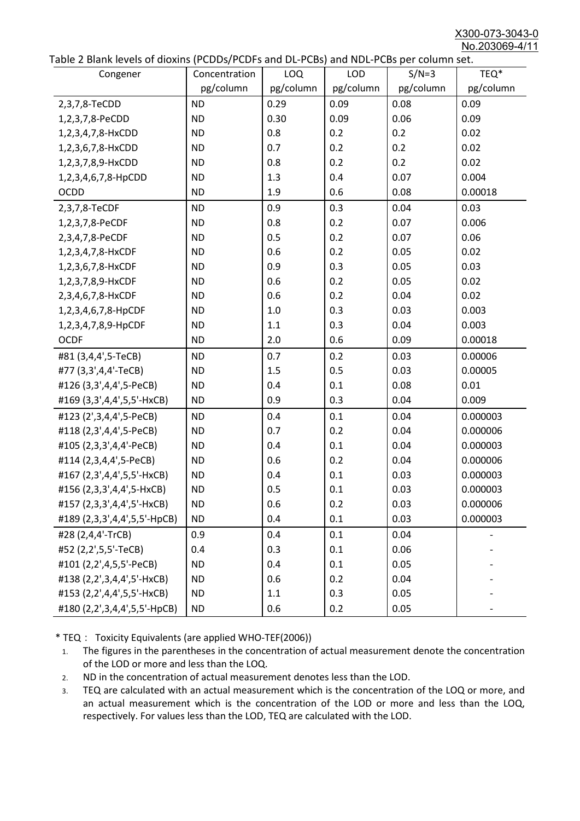X300-073-3043-0 No.203069-4/11

| able 2 Diarik levels of dioxins (FCDD3/FCDF3 and DL-FCD3) and NDL-FCD3 per column set.<br>Congener | Concentration | <b>LOQ</b> | <b>LOD</b> | $S/N=3$   | TEQ*      |
|----------------------------------------------------------------------------------------------------|---------------|------------|------------|-----------|-----------|
|                                                                                                    | pg/column     | pg/column  | pg/column  | pg/column | pg/column |
| 2,3,7,8-TeCDD                                                                                      | <b>ND</b>     | 0.29       | 0.09       | 0.08      | 0.09      |
| 1,2,3,7,8-PeCDD                                                                                    | <b>ND</b>     | 0.30       | 0.09       | 0.06      | 0.09      |
| 1,2,3,4,7,8-HxCDD                                                                                  | <b>ND</b>     | 0.8        | 0.2        | 0.2       | 0.02      |
| 1,2,3,6,7,8-HxCDD                                                                                  | <b>ND</b>     | 0.7        | 0.2        | 0.2       | 0.02      |
| 1,2,3,7,8,9-HxCDD                                                                                  | <b>ND</b>     | 0.8        | 0.2        | 0.2       | 0.02      |
| 1,2,3,4,6,7,8-HpCDD                                                                                | <b>ND</b>     | 1.3        | 0.4        | 0.07      | 0.004     |
| <b>OCDD</b>                                                                                        | <b>ND</b>     | 1.9        | 0.6        | 0.08      | 0.00018   |
| 2,3,7,8-TeCDF                                                                                      | <b>ND</b>     | 0.9        | 0.3        | 0.04      | 0.03      |
| 1,2,3,7,8-PeCDF                                                                                    | <b>ND</b>     | 0.8        | 0.2        | 0.07      | 0.006     |
| 2,3,4,7,8-PeCDF                                                                                    | <b>ND</b>     | 0.5        | 0.2        | 0.07      | 0.06      |
| 1,2,3,4,7,8-HxCDF                                                                                  | <b>ND</b>     | 0.6        | 0.2        | 0.05      | 0.02      |
| 1,2,3,6,7,8-HxCDF                                                                                  | <b>ND</b>     | 0.9        | 0.3        | 0.05      | 0.03      |
| 1,2,3,7,8,9-HxCDF                                                                                  | <b>ND</b>     | 0.6        | 0.2        | 0.05      | 0.02      |
| 2,3,4,6,7,8-HxCDF                                                                                  | <b>ND</b>     | 0.6        | 0.2        | 0.04      | 0.02      |
| 1,2,3,4,6,7,8-HpCDF                                                                                | <b>ND</b>     | 1.0        | 0.3        | 0.03      | 0.003     |
| 1,2,3,4,7,8,9-HpCDF                                                                                | <b>ND</b>     | 1.1        | 0.3        | 0.04      | 0.003     |
| <b>OCDF</b>                                                                                        | <b>ND</b>     | 2.0        | 0.6        | 0.09      | 0.00018   |
| #81 (3,4,4',5-TeCB)                                                                                | <b>ND</b>     | 0.7        | 0.2        | 0.03      | 0.00006   |
| #77 (3,3',4,4'-TeCB)                                                                               | <b>ND</b>     | 1.5        | 0.5        | 0.03      | 0.00005   |
| #126 (3,3',4,4',5-PeCB)                                                                            | <b>ND</b>     | 0.4        | 0.1        | 0.08      | 0.01      |
| #169 (3,3',4,4',5,5'-HxCB)                                                                         | <b>ND</b>     | 0.9        | 0.3        | 0.04      | 0.009     |
| #123 (2',3,4,4',5-PeCB)                                                                            | <b>ND</b>     | 0.4        | 0.1        | 0.04      | 0.000003  |
| #118 (2,3',4,4',5-PeCB)                                                                            | <b>ND</b>     | 0.7        | 0.2        | 0.04      | 0.000006  |
| #105 (2,3,3',4,4'-PeCB)                                                                            | <b>ND</b>     | 0.4        | 0.1        | 0.04      | 0.000003  |
| #114 (2,3,4,4',5-PeCB)                                                                             | <b>ND</b>     | 0.6        | 0.2        | 0.04      | 0.000006  |
| #167 (2,3',4,4',5,5'-HxCB)                                                                         | <b>ND</b>     | 0.4        | 0.1        | 0.03      | 0.000003  |
| #156 (2,3,3',4,4',5-HxCB)                                                                          | <b>ND</b>     | 0.5        | 0.1        | 0.03      | 0.000003  |
| #157 (2,3,3',4,4',5'-HxCB)                                                                         | <b>ND</b>     | 0.6        | 0.2        | 0.03      | 0.000006  |
| #189 (2,3,3',4,4',5,5'-HpCB)                                                                       | <b>ND</b>     | 0.4        | 0.1        | 0.03      | 0.000003  |
| #28 (2,4,4'-TrCB)                                                                                  | 0.9           | 0.4        | 0.1        | 0.04      |           |
| #52 (2,2',5,5'-TeCB)                                                                               | 0.4           | 0.3        | 0.1        | 0.06      |           |
| #101 (2,2',4,5,5'-PeCB)                                                                            | <b>ND</b>     | 0.4        | 0.1        | 0.05      |           |
| #138 (2,2',3,4,4',5'-HxCB)                                                                         | <b>ND</b>     | 0.6        | 0.2        | 0.04      |           |
| #153 (2,2',4,4',5,5'-HxCB)                                                                         | <b>ND</b>     | 1.1        | 0.3        | 0.05      |           |
| #180 (2,2',3,4,4',5,5'-HpCB)                                                                       | <b>ND</b>     | 0.6        | 0.2        | 0.05      |           |

\* TEQ: Toxicity Equivalents (are applied WHO-TEF(2006))

- 1. The figures in the parentheses in the concentration of actual measurement denote the concentration of the LOD or more and less than the LOQ.
- 2. ND in the concentration of actual measurement denotes less than the LOD.
- 3. TEQ are calculated with an actual measurement which is the concentration of the LOQ or more, and an actual measurement which is the concentration of the LOD or more and less than the LOQ, respectively. For values less than the LOD, TEQ are calculated with the LOD.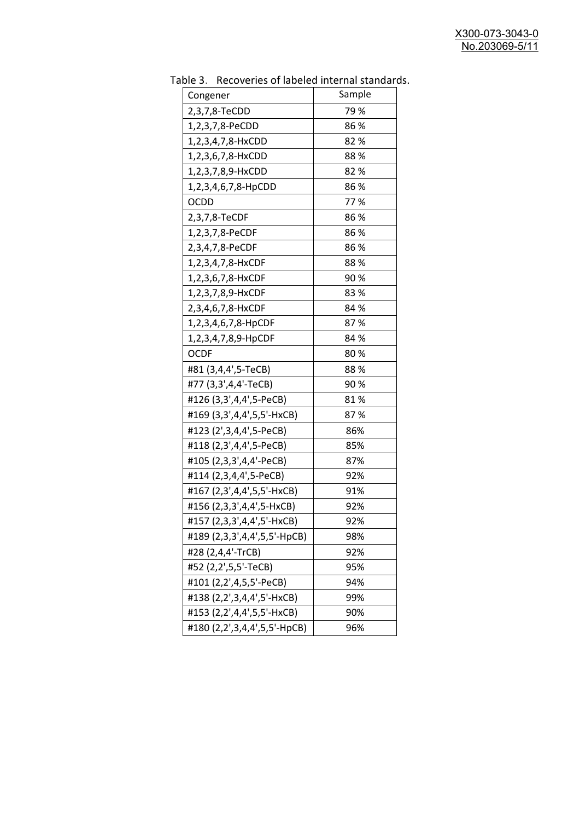| uwic J.<br>Recoveries of fabelea internal standar<br>Congener | Sample |
|---------------------------------------------------------------|--------|
| 2,3,7,8-TeCDD                                                 | 79 %   |
| 1,2,3,7,8-PeCDD                                               | 86%    |
| 1,2,3,4,7,8-HxCDD                                             | 82%    |
| 1,2,3,6,7,8-HxCDD                                             | 88%    |
| 1,2,3,7,8,9-HxCDD                                             | 82%    |
| 1,2,3,4,6,7,8-HpCDD                                           | 86%    |
| <b>OCDD</b>                                                   | 77%    |
| 2,3,7,8-TeCDF                                                 | 86 %   |
| 1,2,3,7,8-PeCDF                                               | 86%    |
| 2,3,4,7,8-PeCDF                                               | 86%    |
| 1,2,3,4,7,8-HxCDF                                             | 88%    |
| 1,2,3,6,7,8-HxCDF                                             | 90%    |
| 1,2,3,7,8,9-HxCDF                                             | 83%    |
| 2,3,4,6,7,8-HxCDF                                             | 84 %   |
| 1,2,3,4,6,7,8-HpCDF                                           | 87%    |
| 1,2,3,4,7,8,9-HpCDF                                           | 84 %   |
| <b>OCDF</b>                                                   | 80%    |
| #81 (3,4,4',5-TeCB)                                           | 88%    |
| #77 (3,3',4,4'-TeCB)                                          | 90%    |
| #126 (3,3',4,4',5-PeCB)                                       | 81%    |
| #169 (3,3',4,4',5,5'-HxCB)                                    | 87%    |
| #123 (2',3,4,4',5-PeCB)                                       | 86%    |
| #118 (2,3',4,4',5-PeCB)                                       | 85%    |
| #105 (2,3,3',4,4'-PeCB)                                       | 87%    |
| #114 (2,3,4,4',5-PeCB)                                        | 92%    |
| #167 (2,3',4,4',5,5'-HxCB)                                    | 91%    |
| #156 (2,3,3',4,4',5-HxCB)                                     | 92%    |
| #157 (2,3,3',4,4',5'-HxCB)                                    | 92%    |
| #189 (2,3,3',4,4',5,5'-HpCB)                                  | 98%    |
| #28 (2,4,4'-TrCB)                                             | 92%    |
| #52 (2,2',5,5'-TeCB)                                          | 95%    |
| #101 (2,2',4,5,5'-PeCB)                                       | 94%    |
| #138 (2,2',3,4,4',5'-HxCB)                                    | 99%    |
| #153 (2,2',4,4',5,5'-HxCB)                                    | 90%    |
| #180 (2,2',3,4,4',5,5'-HpCB)                                  | 96%    |

Table 3. Recoveries of labeled internal standards.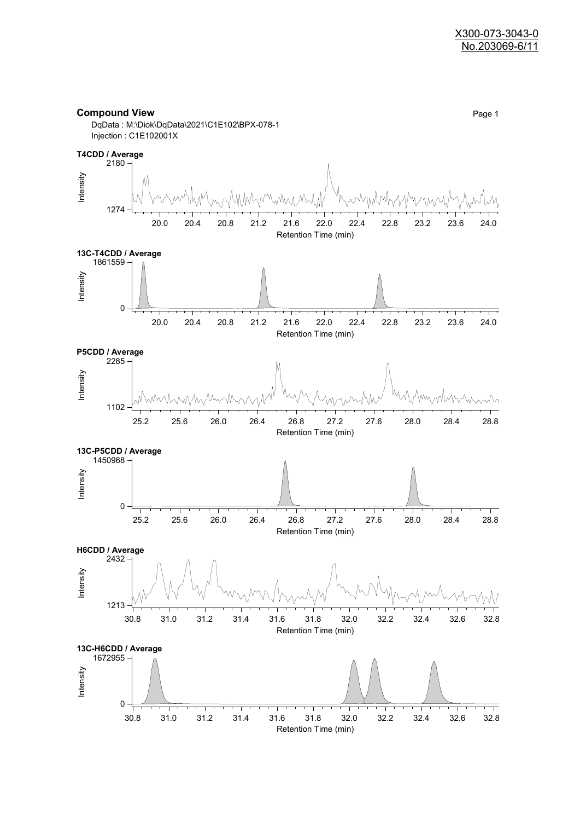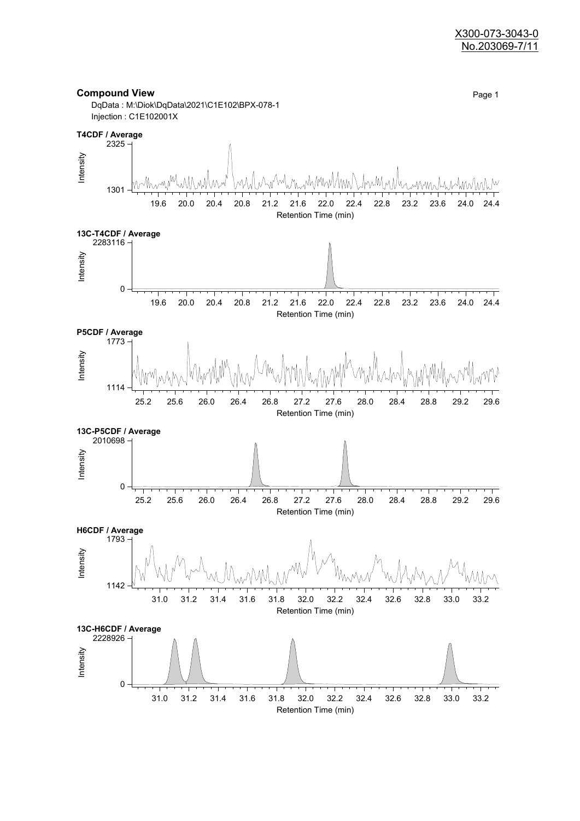#### X300-073-3043-0 No.203069-7/11

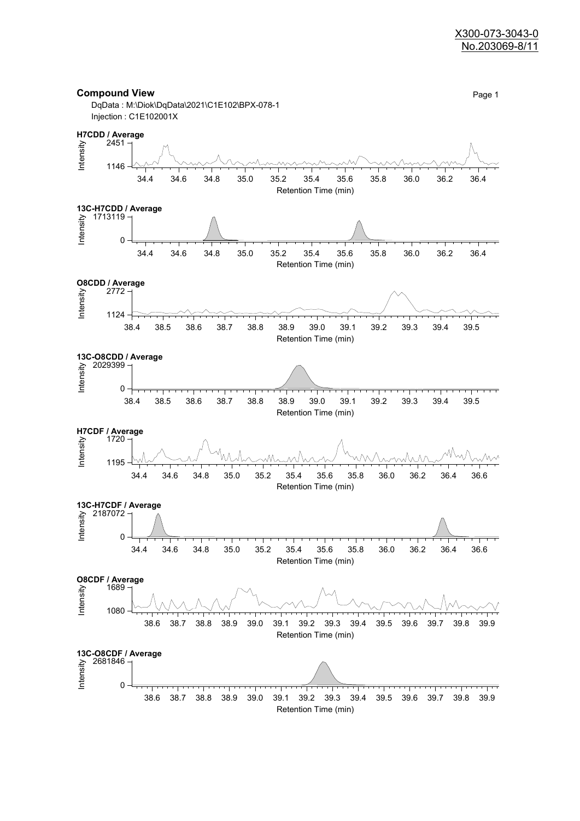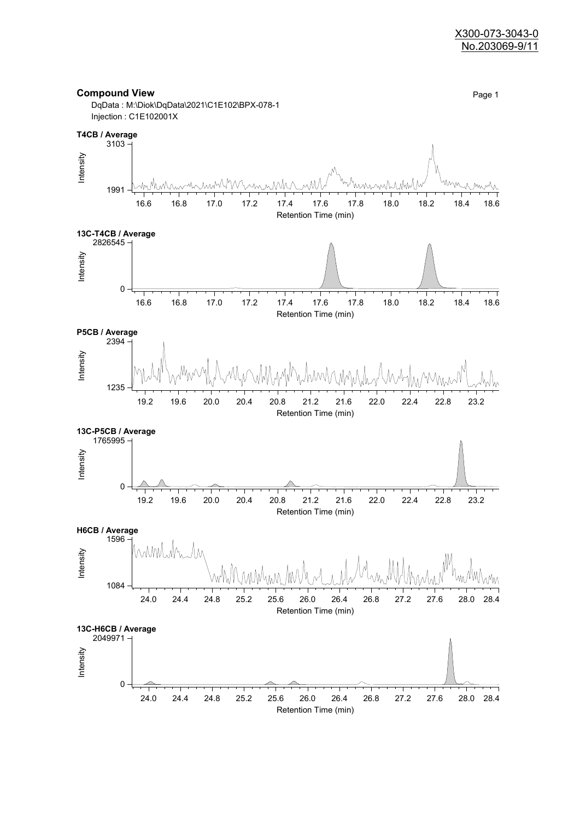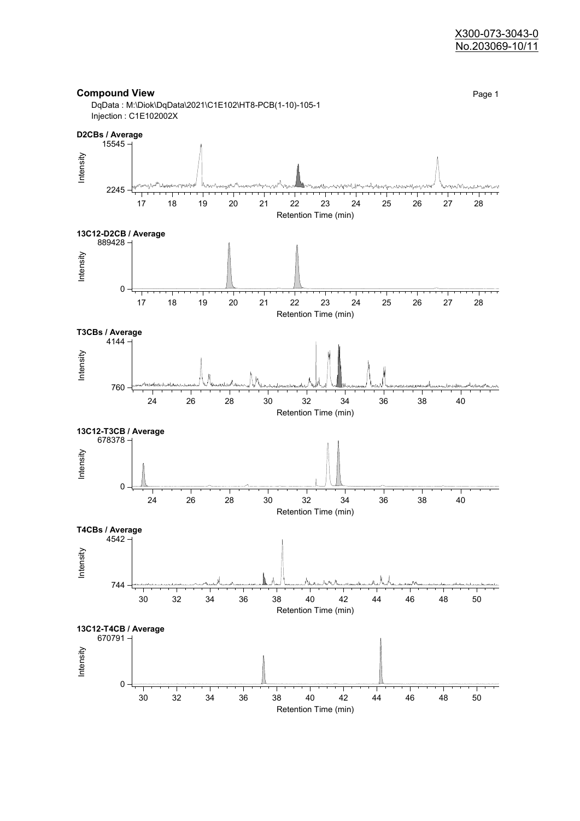